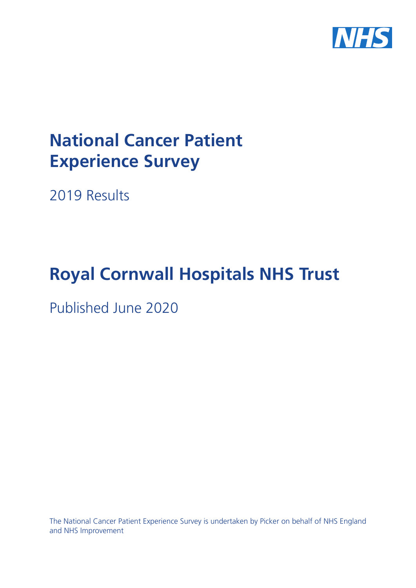

# **National Cancer Patient Experience Survey**

2019 Results

# **Royal Cornwall Hospitals NHS Trust**

Published June 2020

The National Cancer Patient Experience Survey is undertaken by Picker on behalf of NHS England and NHS Improvement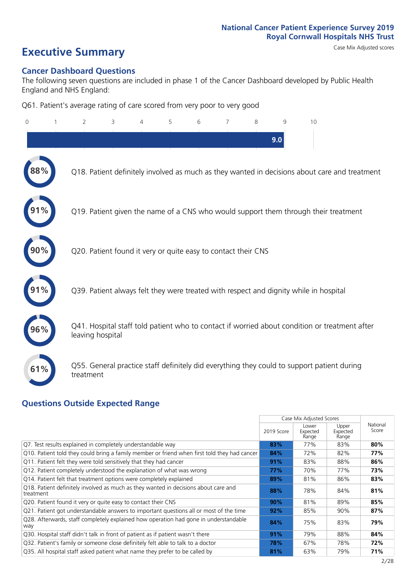# **Executive Summary** Case Mix Adjusted scores

#### **Cancer Dashboard Questions**

The following seven questions are included in phase 1 of the Cancer Dashboard developed by Public Health England and NHS England:

Q61. Patient's average rating of care scored from very poor to very good

| $\Omega$ | $\overline{2}$                                                | 3 | $\overline{4}$ | 5 | 6 | 7 | 8 | 9   | 10                                                                                            |  |
|----------|---------------------------------------------------------------|---|----------------|---|---|---|---|-----|-----------------------------------------------------------------------------------------------|--|
|          |                                                               |   |                |   |   |   |   | 9.0 |                                                                                               |  |
|          |                                                               |   |                |   |   |   |   |     | Q18. Patient definitely involved as much as they wanted in decisions about care and treatment |  |
|          |                                                               |   |                |   |   |   |   |     | Q19. Patient given the name of a CNS who would support them through their treatment           |  |
|          | Q20. Patient found it very or quite easy to contact their CNS |   |                |   |   |   |   |     |                                                                                               |  |
|          |                                                               |   |                |   |   |   |   |     | Q39. Patient always felt they were treated with respect and dignity while in hospital         |  |
| 96%      | leaving hospital                                              |   |                |   |   |   |   |     | Q41. Hospital staff told patient who to contact if worried about condition or treatment after |  |
| 61%      | treatment                                                     |   |                |   |   |   |   |     | Q55. General practice staff definitely did everything they could to support patient during    |  |

### **Questions Outside Expected Range**

|                                                                                                  |            | Case Mix Adjusted Scores   |                            |                   |
|--------------------------------------------------------------------------------------------------|------------|----------------------------|----------------------------|-------------------|
|                                                                                                  | 2019 Score | Lower<br>Expected<br>Range | Upper<br>Expected<br>Range | National<br>Score |
| Q7. Test results explained in completely understandable way                                      | 83%        | 77%                        | 83%                        | 80%               |
| Q10. Patient told they could bring a family member or friend when first told they had cancer     | 84%        | 72%                        | 82%                        | 77%               |
| Q11. Patient felt they were told sensitively that they had cancer                                | 91%        | 83%                        | 88%                        | 86%               |
| Q12. Patient completely understood the explanation of what was wrong                             | 77%        | 70%                        | 77%                        | 73%               |
| Q14. Patient felt that treatment options were completely explained                               | 89%        | 81%                        | 86%                        | 83%               |
| Q18. Patient definitely involved as much as they wanted in decisions about care and<br>treatment | 88%        | 78%                        | 84%                        | 81%               |
| Q20. Patient found it very or quite easy to contact their CNS                                    | 90%        | 81%                        | 89%                        | 85%               |
| Q21. Patient got understandable answers to important questions all or most of the time           | 92%        | 85%                        | 90%                        | 87%               |
| Q28. Afterwards, staff completely explained how operation had gone in understandable<br>way      | 84%        | 75%                        | 83%                        | 79%               |
| Q30. Hospital staff didn't talk in front of patient as if patient wasn't there                   | 91%        | 79%                        | 88%                        | 84%               |
| Q32. Patient's family or someone close definitely felt able to talk to a doctor                  | 78%        | 67%                        | 78%                        | 72%               |
| Q35. All hospital staff asked patient what name they prefer to be called by                      | 81%        | 63%                        | 79%                        | 71%               |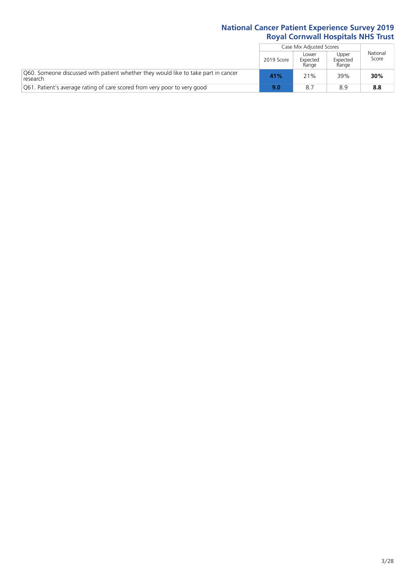|                                                                                                |            | Case Mix Adjusted Scores   |                            |                   |
|------------------------------------------------------------------------------------------------|------------|----------------------------|----------------------------|-------------------|
|                                                                                                | 2019 Score | Lower<br>Expected<br>Range | Upper<br>Expected<br>Range | National<br>Score |
| Q60. Someone discussed with patient whether they would like to take part in cancer<br>research | 41%        | 21%                        | 39%                        | 30%               |
| Q61. Patient's average rating of care scored from very poor to very good                       | 9.0        | 8.7                        | 8.9                        | 8.8               |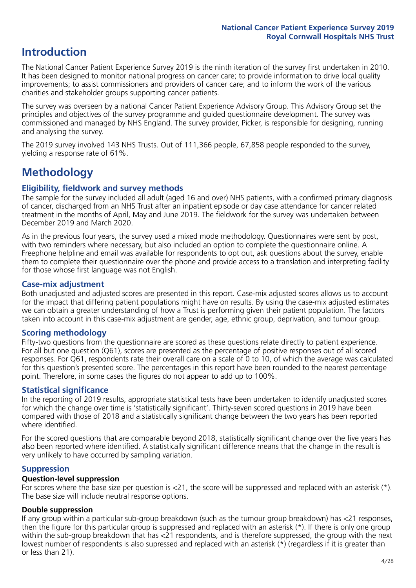# **Introduction**

The National Cancer Patient Experience Survey 2019 is the ninth iteration of the survey first undertaken in 2010. It has been designed to monitor national progress on cancer care; to provide information to drive local quality improvements; to assist commissioners and providers of cancer care; and to inform the work of the various charities and stakeholder groups supporting cancer patients.

The survey was overseen by a national Cancer Patient Experience Advisory Group. This Advisory Group set the principles and objectives of the survey programme and guided questionnaire development. The survey was commissioned and managed by NHS England. The survey provider, Picker, is responsible for designing, running and analysing the survey.

The 2019 survey involved 143 NHS Trusts. Out of 111,366 people, 67,858 people responded to the survey, yielding a response rate of 61%.

# **Methodology**

#### **Eligibility, eldwork and survey methods**

The sample for the survey included all adult (aged 16 and over) NHS patients, with a confirmed primary diagnosis of cancer, discharged from an NHS Trust after an inpatient episode or day case attendance for cancer related treatment in the months of April, May and June 2019. The fieldwork for the survey was undertaken between December 2019 and March 2020.

As in the previous four years, the survey used a mixed mode methodology. Questionnaires were sent by post, with two reminders where necessary, but also included an option to complete the questionnaire online. A Freephone helpline and email was available for respondents to opt out, ask questions about the survey, enable them to complete their questionnaire over the phone and provide access to a translation and interpreting facility for those whose first language was not English.

#### **Case-mix adjustment**

Both unadjusted and adjusted scores are presented in this report. Case-mix adjusted scores allows us to account for the impact that differing patient populations might have on results. By using the case-mix adjusted estimates we can obtain a greater understanding of how a Trust is performing given their patient population. The factors taken into account in this case-mix adjustment are gender, age, ethnic group, deprivation, and tumour group.

#### **Scoring methodology**

Fifty-two questions from the questionnaire are scored as these questions relate directly to patient experience. For all but one question (Q61), scores are presented as the percentage of positive responses out of all scored responses. For Q61, respondents rate their overall care on a scale of 0 to 10, of which the average was calculated for this question's presented score. The percentages in this report have been rounded to the nearest percentage point. Therefore, in some cases the figures do not appear to add up to 100%.

#### **Statistical significance**

In the reporting of 2019 results, appropriate statistical tests have been undertaken to identify unadjusted scores for which the change over time is 'statistically significant'. Thirty-seven scored questions in 2019 have been compared with those of 2018 and a statistically significant change between the two years has been reported where identified.

For the scored questions that are comparable beyond 2018, statistically significant change over the five years has also been reported where identified. A statistically significant difference means that the change in the result is very unlikely to have occurred by sampling variation.

#### **Suppression**

#### **Question-level suppression**

For scores where the base size per question is  $<$ 21, the score will be suppressed and replaced with an asterisk (\*). The base size will include neutral response options.

#### **Double suppression**

If any group within a particular sub-group breakdown (such as the tumour group breakdown) has <21 responses, then the figure for this particular group is suppressed and replaced with an asterisk (\*). If there is only one group within the sub-group breakdown that has <21 respondents, and is therefore suppressed, the group with the next lowest number of respondents is also supressed and replaced with an asterisk (\*) (regardless if it is greater than or less than 21).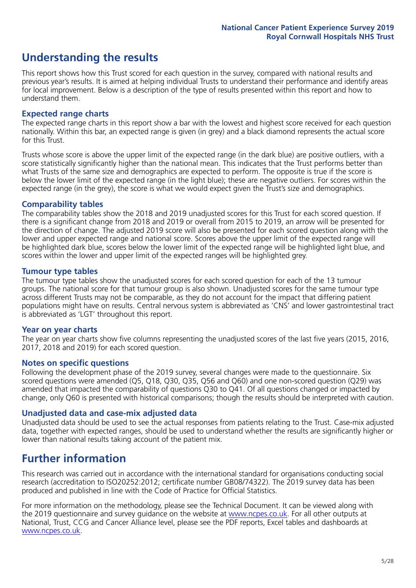# **Understanding the results**

This report shows how this Trust scored for each question in the survey, compared with national results and previous year's results. It is aimed at helping individual Trusts to understand their performance and identify areas for local improvement. Below is a description of the type of results presented within this report and how to understand them.

#### **Expected range charts**

The expected range charts in this report show a bar with the lowest and highest score received for each question nationally. Within this bar, an expected range is given (in grey) and a black diamond represents the actual score for this Trust.

Trusts whose score is above the upper limit of the expected range (in the dark blue) are positive outliers, with a score statistically significantly higher than the national mean. This indicates that the Trust performs better than what Trusts of the same size and demographics are expected to perform. The opposite is true if the score is below the lower limit of the expected range (in the light blue); these are negative outliers. For scores within the expected range (in the grey), the score is what we would expect given the Trust's size and demographics.

#### **Comparability tables**

The comparability tables show the 2018 and 2019 unadjusted scores for this Trust for each scored question. If there is a significant change from 2018 and 2019 or overall from 2015 to 2019, an arrow will be presented for the direction of change. The adjusted 2019 score will also be presented for each scored question along with the lower and upper expected range and national score. Scores above the upper limit of the expected range will be highlighted dark blue, scores below the lower limit of the expected range will be highlighted light blue, and scores within the lower and upper limit of the expected ranges will be highlighted grey.

#### **Tumour type tables**

The tumour type tables show the unadjusted scores for each scored question for each of the 13 tumour groups. The national score for that tumour group is also shown. Unadjusted scores for the same tumour type across different Trusts may not be comparable, as they do not account for the impact that differing patient populations might have on results. Central nervous system is abbreviated as 'CNS' and lower gastrointestinal tract is abbreviated as 'LGT' throughout this report.

#### **Year on year charts**

The year on year charts show five columns representing the unadjusted scores of the last five years (2015, 2016, 2017, 2018 and 2019) for each scored question.

#### **Notes on specific questions**

Following the development phase of the 2019 survey, several changes were made to the questionnaire. Six scored questions were amended (Q5, Q18, Q30, Q35, Q56 and Q60) and one non-scored question (Q29) was amended that impacted the comparability of questions Q30 to Q41. Of all questions changed or impacted by change, only Q60 is presented with historical comparisons; though the results should be interpreted with caution.

#### **Unadjusted data and case-mix adjusted data**

Unadjusted data should be used to see the actual responses from patients relating to the Trust. Case-mix adjusted data, together with expected ranges, should be used to understand whether the results are significantly higher or lower than national results taking account of the patient mix.

### **Further information**

This research was carried out in accordance with the international standard for organisations conducting social research (accreditation to ISO20252:2012; certificate number GB08/74322). The 2019 survey data has been produced and published in line with the Code of Practice for Official Statistics.

For more information on the methodology, please see the Technical Document. It can be viewed along with the 2019 questionnaire and survey quidance on the website at [www.ncpes.co.uk](https://www.ncpes.co.uk/supporting-documents). For all other outputs at National, Trust, CCG and Cancer Alliance level, please see the PDF reports, Excel tables and dashboards at [www.ncpes.co.uk.](https://www.ncpes.co.uk/current-results)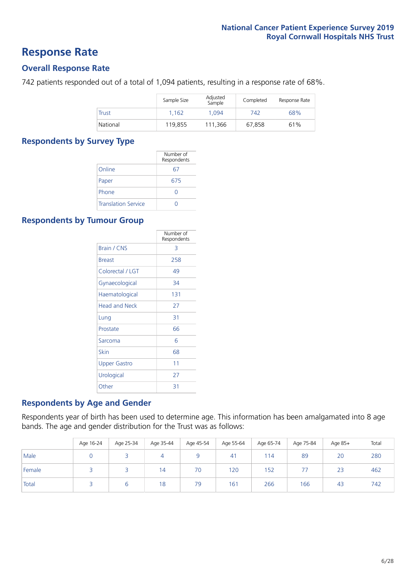### **Response Rate**

#### **Overall Response Rate**

742 patients responded out of a total of 1,094 patients, resulting in a response rate of 68%.

|              | Sample Size | Adjusted<br>Sample | Completed | Response Rate |
|--------------|-------------|--------------------|-----------|---------------|
| <b>Trust</b> | 1.162       | 1.094              | 742       | 68%           |
| National     | 119.855     | 111.366            | 67.858    | 61%           |

#### **Respondents by Survey Type**

|                            | Number of<br>Respondents |
|----------------------------|--------------------------|
| Online                     | 67                       |
| Paper                      | 675                      |
| Phone                      |                          |
| <b>Translation Service</b> |                          |

#### **Respondents by Tumour Group**

|                      | Number of<br>Respondents |
|----------------------|--------------------------|
| <b>Brain / CNS</b>   | 3                        |
| <b>Breast</b>        | 258                      |
| Colorectal / LGT     | 49                       |
| Gynaecological       | 34                       |
| Haematological       | 131                      |
| <b>Head and Neck</b> | 27                       |
| Lung                 | 31                       |
| Prostate             | 66                       |
| Sarcoma              | 6                        |
| Skin                 | 68                       |
| <b>Upper Gastro</b>  | 11                       |
| Urological           | 27                       |
| Other                | 31                       |

#### **Respondents by Age and Gender**

Respondents year of birth has been used to determine age. This information has been amalgamated into 8 age bands. The age and gender distribution for the Trust was as follows:

|        | Age 16-24 | Age 25-34 | Age 35-44 | Age 45-54 | Age 55-64       | Age 65-74 | Age 75-84 | Age 85+ | Total |
|--------|-----------|-----------|-----------|-----------|-----------------|-----------|-----------|---------|-------|
| Male   |           |           | 4         |           | 41              | 114       | 89        | 20      | 280   |
| Female |           |           | 14        | 70        | 120             | 152       |           | 23      | 462   |
| Total  |           |           | 18        | 79        | 16 <sup>7</sup> | 266       | 166       | 43      | 742   |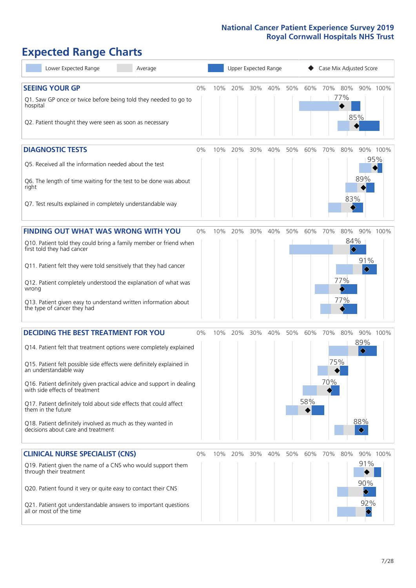# **Expected Range Charts**

| Lower Expected Range<br>Average                                                                                                                                                                                                                                                                                                                                                                                                                                                                                             |       |     | Upper Expected Range |     |     |     |            | Case Mix Adjusted Score |                                                  |                                                  |                 |
|-----------------------------------------------------------------------------------------------------------------------------------------------------------------------------------------------------------------------------------------------------------------------------------------------------------------------------------------------------------------------------------------------------------------------------------------------------------------------------------------------------------------------------|-------|-----|----------------------|-----|-----|-----|------------|-------------------------|--------------------------------------------------|--------------------------------------------------|-----------------|
| <b>SEEING YOUR GP</b><br>Q1. Saw GP once or twice before being told they needed to go to<br>hospital<br>Q2. Patient thought they were seen as soon as necessary                                                                                                                                                                                                                                                                                                                                                             | 0%    | 10% | 20%                  | 30% | 40% | 50% | 60%        | 70% 80%                 | 77%                                              | 85%                                              | 90% 100%        |
| <b>DIAGNOSTIC TESTS</b><br>Q5. Received all the information needed about the test<br>Q6. The length of time waiting for the test to be done was about<br>right<br>Q7. Test results explained in completely understandable way                                                                                                                                                                                                                                                                                               | $0\%$ | 10% | 20%                  | 30% | 40% | 50% | 60%        | 70%                     | 80%<br>83%                                       | 89%                                              | 90% 100%<br>95% |
| <b>FINDING OUT WHAT WAS WRONG WITH YOU</b><br>Q10. Patient told they could bring a family member or friend when<br>first told they had cancer<br>Q11. Patient felt they were told sensitively that they had cancer<br>Q12. Patient completely understood the explanation of what was<br>wrong<br>Q13. Patient given easy to understand written information about<br>the type of cancer they had                                                                                                                             | $0\%$ | 10% | 20%                  | 30% | 40% | 50% | 60%        | 70%                     | 80%<br>84%<br>$\blacklozenge$<br>77%<br>♪<br>77% | 91%<br>♦                                         | 90% 100%        |
| <b>DECIDING THE BEST TREATMENT FOR YOU</b><br>Q14. Patient felt that treatment options were completely explained<br>Q15. Patient felt possible side effects were definitely explained in<br>an understandable way<br>Q16. Patient definitely given practical advice and support in dealing<br>with side effects of treatment<br>Q17. Patient definitely told about side effects that could affect<br>them in the future<br>Q18. Patient definitely involved as much as they wanted in<br>decisions about care and treatment | 0%    | 10% | 20%                  | 30% | 40% | 50% | 60%<br>58% | 70%<br>75%<br>70%       | 80%                                              | 89%<br>$\color{blue}\diamond$<br>88%<br>♦        | 90% 100%        |
| <b>CLINICAL NURSE SPECIALIST (CNS)</b><br>Q19. Patient given the name of a CNS who would support them<br>through their treatment<br>Q20. Patient found it very or quite easy to contact their CNS<br>Q21. Patient got understandable answers to important questions<br>all or most of the time                                                                                                                                                                                                                              | 0%    |     | 10% 20%              | 30% | 40% | 50% | 60%        | 70%                     | 80%                                              | 91%<br>90%<br>92%<br>$\color{blue}\blacklozenge$ | 90% 100%        |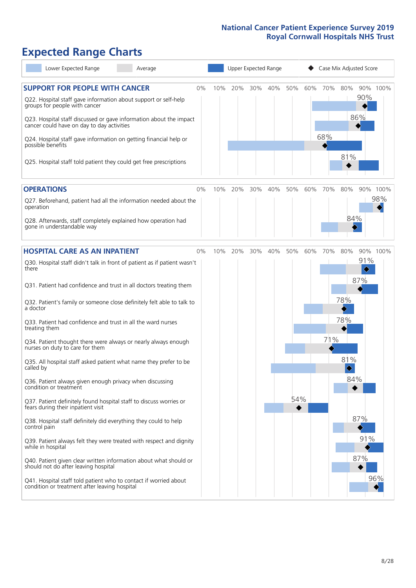# **Expected Range Charts**

| Lower Expected Range<br>Average                                                                                                                                                                                                                                                                                                                                                                                                                                                                                                                                                                                                                                                                                                                                                                                                                                                                                                                                                                                                                                                                                                                                                   |    |     | Upper Expected Range |     |     |            |     | Case Mix Adjusted Score |                                                                 |                                                          |                 |
|-----------------------------------------------------------------------------------------------------------------------------------------------------------------------------------------------------------------------------------------------------------------------------------------------------------------------------------------------------------------------------------------------------------------------------------------------------------------------------------------------------------------------------------------------------------------------------------------------------------------------------------------------------------------------------------------------------------------------------------------------------------------------------------------------------------------------------------------------------------------------------------------------------------------------------------------------------------------------------------------------------------------------------------------------------------------------------------------------------------------------------------------------------------------------------------|----|-----|----------------------|-----|-----|------------|-----|-------------------------|-----------------------------------------------------------------|----------------------------------------------------------|-----------------|
| <b>SUPPORT FOR PEOPLE WITH CANCER</b><br>Q22. Hospital staff gave information about support or self-help<br>groups for people with cancer<br>Q23. Hospital staff discussed or gave information about the impact<br>cancer could have on day to day activities<br>Q24. Hospital staff gave information on getting financial help or<br>possible benefits<br>Q25. Hospital staff told patient they could get free prescriptions                                                                                                                                                                                                                                                                                                                                                                                                                                                                                                                                                                                                                                                                                                                                                     | 0% | 10% | 20%                  | 30% | 40% | 50%        | 60% | 70%<br>68%              | 80%<br>81%                                                      | 90%<br>86%                                               | 90% 100%        |
| <b>OPERATIONS</b><br>Q27. Beforehand, patient had all the information needed about the<br>operation<br>Q28. Afterwards, staff completely explained how operation had<br>gone in understandable way                                                                                                                                                                                                                                                                                                                                                                                                                                                                                                                                                                                                                                                                                                                                                                                                                                                                                                                                                                                | 0% | 10% | 20%                  | 30% | 40% | 50%        | 60% | 70%                     | 80%<br>84%                                                      |                                                          | 90% 100%<br>98% |
| <b>HOSPITAL CARE AS AN INPATIENT</b><br>Q30. Hospital staff didn't talk in front of patient as if patient wasn't<br>there<br>Q31. Patient had confidence and trust in all doctors treating them<br>Q32. Patient's family or someone close definitely felt able to talk to<br>a doctor<br>Q33. Patient had confidence and trust in all the ward nurses<br>treating them<br>Q34. Patient thought there were always or nearly always enough<br>nurses on duty to care for them<br>Q35. All hospital staff asked patient what name they prefer to be<br>called by<br>Q36. Patient always given enough privacy when discussing<br>condition or treatment<br>Q37. Patient definitely found hospital staff to discuss worries or<br>fears during their inpatient visit<br>Q38. Hospital staff definitely did everything they could to help<br>control pain<br>Q39. Patient always felt they were treated with respect and dignity<br>while in hospital<br>Q40. Patient given clear written information about what should or<br>should not do after leaving hospital<br>Q41. Hospital staff told patient who to contact if worried about<br>condition or treatment after leaving hospital | 0% | 10% | 20%                  | 30% | 40% | 50%<br>54% | 60% | 70%<br>71%              | 80%<br>78%<br>78%<br>81%<br>$\color{black}\blacklozenge$<br>84% | 91%<br>$\hat{\blacklozenge}$<br>87%<br>87%<br>91%<br>87% | 90% 100%<br>96% |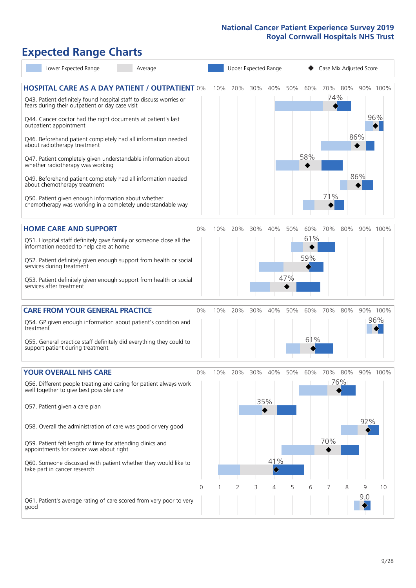# **Expected Range Charts**

| Lower Expected Range<br>Average                                                                                       |          |     | Upper Expected Range |        |     |     |     | Case Mix Adjusted Score |     |     |          |
|-----------------------------------------------------------------------------------------------------------------------|----------|-----|----------------------|--------|-----|-----|-----|-------------------------|-----|-----|----------|
| <b>HOSPITAL CARE AS A DAY PATIENT / OUTPATIENT 0%</b>                                                                 |          | 10% | 20%                  | 30%    | 40% | 50% | 60% | 70%                     | 80% |     | 90% 100% |
| Q43. Patient definitely found hospital staff to discuss worries or<br>fears during their outpatient or day case visit |          |     |                      |        |     |     |     | 74%                     |     |     |          |
| Q44. Cancer doctor had the right documents at patient's last<br>outpatient appointment                                |          |     |                      |        |     |     |     |                         |     |     | 96%      |
| Q46. Beforehand patient completely had all information needed<br>about radiotherapy treatment                         |          |     |                      |        |     |     |     |                         |     | 86% |          |
| Q47. Patient completely given understandable information about<br>whether radiotherapy was working                    |          |     |                      |        |     |     | 58% |                         |     |     |          |
| Q49. Beforehand patient completely had all information needed<br>about chemotherapy treatment                         |          |     |                      |        |     |     |     |                         |     | 86% |          |
| Q50. Patient given enough information about whether<br>chemotherapy was working in a completely understandable way    |          |     |                      |        |     |     |     | 71%                     |     |     |          |
| <b>HOME CARE AND SUPPORT</b>                                                                                          | 0%       | 10% | 20%                  | 30%    | 40% | 50% | 60% | 70%                     | 80% |     | 90% 100% |
| Q51. Hospital staff definitely gave family or someone close all the<br>information needed to help care at home        |          |     |                      |        |     |     | 61% |                         |     |     |          |
| Q52. Patient definitely given enough support from health or social<br>services during treatment                       |          |     |                      |        |     |     | 59% |                         |     |     |          |
| Q53. Patient definitely given enough support from health or social<br>services after treatment                        |          |     |                      |        |     | 47% |     |                         |     |     |          |
| <b>CARE FROM YOUR GENERAL PRACTICE</b>                                                                                | 0%       | 10% | 20%                  | $30\%$ | 40% | 50% | 60% | 70%                     | 80% |     | 90% 100% |
| Q54. GP given enough information about patient's condition and<br>treatment                                           |          |     |                      |        |     |     |     |                         |     |     | 96%      |
| Q55. General practice staff definitely did everything they could to<br>support patient during treatment               |          |     |                      |        |     |     | 61% |                         |     |     |          |
| <b>YOUR OVERALL NHS CARE</b>                                                                                          | 0%       | 10% | 20%                  | 30%    | 40% | 50% | 60% | 70%                     | 80% |     | 90% 100% |
| Q56. Different people treating and caring for patient always work<br>well together to give best possible care         |          |     |                      |        |     |     |     |                         | 76% |     |          |
| Q57. Patient given a care plan                                                                                        |          |     |                      |        | 35% |     |     |                         |     |     |          |
| Q58. Overall the administration of care was good or very good                                                         |          |     |                      |        |     |     |     |                         |     | 92% |          |
| Q59. Patient felt length of time for attending clinics and<br>appointments for cancer was about right                 |          |     |                      |        |     |     |     | 70%                     |     |     |          |
| Q60. Someone discussed with patient whether they would like to<br>take part in cancer research                        |          |     |                      |        | 41% |     |     |                         |     |     |          |
|                                                                                                                       | $\Omega$ |     | $\overline{2}$       | 3      | 4   | 5   | 6   |                         | 8   | 9   | 10       |
| Q61. Patient's average rating of care scored from very poor to very<br>good                                           |          |     |                      |        |     |     |     |                         |     | 9.0 |          |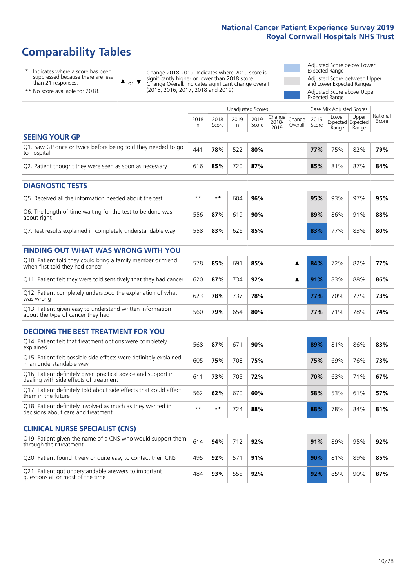# **Comparability Tables**

\* Indicates where a score has been suppressed because there are less than 21 responses.

\*\* No score available for 2018.

 $\triangle$  or  $\nabla$ 

Change 2018-2019: Indicates where 2019 score is significantly higher or lower than 2018 score Change Overall: Indicates significant change overall (2015, 2016, 2017, 2018 and 2019).

Adjusted Score below Lower Expected Range Adjusted Score between Upper and Lower Expected Ranges Adjusted Score above Upper Expected Range

|                                                                             | Case Mix Adjusted Scores<br>Unadjusted Scores |               |           |               |                                                    |         |               |                                     |                |                   |
|-----------------------------------------------------------------------------|-----------------------------------------------|---------------|-----------|---------------|----------------------------------------------------|---------|---------------|-------------------------------------|----------------|-------------------|
|                                                                             | 2018<br>n                                     | 2018<br>Score | 2019<br>n | 2019<br>Score | $\sim$   Change   Change   $\sim$<br>2018-<br>2019 | Overall | 2019<br>Score | Lower<br>Expected Expected<br>Range | Upper<br>Range | National<br>Score |
| <b>SEEING YOUR GP</b>                                                       |                                               |               |           |               |                                                    |         |               |                                     |                |                   |
| Q1. Saw GP once or twice before being told they needed to go<br>to hospital | 44 <sup>1</sup>                               | 78%           | 522       | 80%           |                                                    |         | 77%           | 75%                                 | 82%            | 79%               |
| Q2. Patient thought they were seen as soon as necessary                     | 616                                           | 85%           | 720       | 87%           |                                                    |         | 85%           | 81%                                 | 87%            | 84%               |

| <b>DIAGNOSTIC TESTS</b>                                                   |       |     |     |     |  |     |     |     |     |
|---------------------------------------------------------------------------|-------|-----|-----|-----|--|-----|-----|-----|-----|
| Q5. Received all the information needed about the test                    | $***$ | **  | 604 | 96% |  | 95% | 93% | 97% | 95% |
| Q6. The length of time waiting for the test to be done was<br>about right | 556   | 87% | 619 | 90% |  | 89% | 86% | 91% | 88% |
| Q7. Test results explained in completely understandable way               | 558   | 83% | 626 | 85% |  | 83% | 77% | 83% | 80% |

| <b>FINDING OUT WHAT WAS WRONG WITH YOU</b>                                                      |     |     |     |     |  |     |     |     |     |
|-------------------------------------------------------------------------------------------------|-----|-----|-----|-----|--|-----|-----|-----|-----|
| Q10. Patient told they could bring a family member or friend<br>when first told they had cancer | 578 | 85% | 691 | 85% |  | 84% | 72% | 82% | 77% |
| Q11. Patient felt they were told sensitively that they had cancer                               | 620 | 87% | 734 | 92% |  | 91% | 83% | 88% | 86% |
| Q12. Patient completely understood the explanation of what<br>was wrong                         | 623 | 78% | 737 | 78% |  | 77% | 70% | 77% | 73% |
| Q13. Patient given easy to understand written information<br>about the type of cancer they had  | 560 | 79% | 654 | 80% |  | 77% | 71% | 78% | 74% |

| <b>DECIDING THE BEST TREATMENT FOR YOU</b>                                                              |      |     |     |     |     |     |     |     |
|---------------------------------------------------------------------------------------------------------|------|-----|-----|-----|-----|-----|-----|-----|
| Q14. Patient felt that treatment options were completely<br>explained                                   | 568  | 87% | 67' | 90% | 89% | 81% | 86% | 83% |
| Q15. Patient felt possible side effects were definitely explained<br>in an understandable way           | 605  | 75% | 708 | 75% | 75% | 69% | 76% | 73% |
| Q16. Patient definitely given practical advice and support in<br>dealing with side effects of treatment | 611  | 73% | 705 | 72% | 70% | 63% | 71% | 67% |
| Q17. Patient definitely told about side effects that could affect<br>them in the future                 | 562  | 62% | 670 | 60% | 58% | 53% | 61% | 57% |
| Q18. Patient definitely involved as much as they wanted in<br>decisions about care and treatment        | $**$ | **  | 724 | 88% | 88% | 78% | 84% | 81% |

| <b>CLINICAL NURSE SPECIALIST (CNS)</b>                                                    |     |     |     |     |     |     |     |     |
|-------------------------------------------------------------------------------------------|-----|-----|-----|-----|-----|-----|-----|-----|
| [Q19. Patient given the name of a CNS who would support them<br>through their treatment   | 614 | 94% | 712 | 92% | 91% | 89% | 95% | 92% |
| Q20. Patient found it very or quite easy to contact their CNS                             | 495 | 92% | 571 | 91% | 90% | 81% | 89% | 85% |
| Q21. Patient got understandable answers to important<br>questions all or most of the time | 484 | 93% | 555 | 92% | 92% | 85% | 90% | 87% |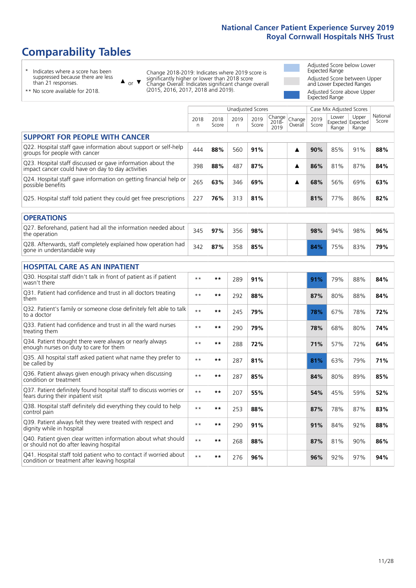# **Comparability Tables**

\* Indicates where a score has been suppressed because there are less than 21 responses.

\*\* No score available for 2018.

 $\triangle$  or  $\nabla$ 

Change 2018-2019: Indicates where 2019 score is significantly higher or lower than 2018 score Change Overall: Indicates significant change overall (2015, 2016, 2017, 2018 and 2019).

Adjusted Score below Lower Expected Range Adjusted Score between Upper and Lower Expected Ranges Adjusted Score above Upper Expected Range

|                                                                                                                   |              |               | <b>Unadjusted Scores</b> |               |                         |                   |               | Case Mix Adjusted Scores            |                |                   |
|-------------------------------------------------------------------------------------------------------------------|--------------|---------------|--------------------------|---------------|-------------------------|-------------------|---------------|-------------------------------------|----------------|-------------------|
|                                                                                                                   | 2018<br>n    | 2018<br>Score | 2019<br>n.               | 2019<br>Score | Change<br>2018-<br>2019 | Change<br>Overall | 2019<br>Score | Lower<br>Expected Expected<br>Range | Upper<br>Range | National<br>Score |
| <b>SUPPORT FOR PEOPLE WITH CANCER</b>                                                                             |              |               |                          |               |                         |                   |               |                                     |                |                   |
| Q22. Hospital staff gave information about support or self-help<br>groups for people with cancer                  | 444          | 88%           | 560                      | 91%           |                         | ▲                 | 90%           | 85%                                 | 91%            | 88%               |
| Q23. Hospital staff discussed or gave information about the<br>impact cancer could have on day to day activities  | 398          | 88%           | 487                      | 87%           |                         | ▲                 | 86%           | 81%                                 | 87%            | 84%               |
| Q24. Hospital staff gave information on getting financial help or<br>possible benefits                            | 265          | 63%           | 346                      | 69%           |                         | ▲                 | 68%           | 56%                                 | 69%            | 63%               |
| Q25. Hospital staff told patient they could get free prescriptions                                                | 227          | 76%           | 313                      | 81%           |                         |                   | 81%           | 77%                                 | 86%            | 82%               |
| <b>OPERATIONS</b>                                                                                                 |              |               |                          |               |                         |                   |               |                                     |                |                   |
| Q27. Beforehand, patient had all the information needed about<br>the operation                                    | 345          | 97%           | 356                      | 98%           |                         |                   | 98%           | 94%                                 | 98%            | 96%               |
| Q28. Afterwards, staff completely explained how operation had<br>gone in understandable way                       | 342          | 87%           | 358                      | 85%           |                         |                   | 84%           | 75%                                 | 83%            | 79%               |
| <b>HOSPITAL CARE AS AN INPATIENT</b>                                                                              |              |               |                          |               |                         |                   |               |                                     |                |                   |
| Q30. Hospital staff didn't talk in front of patient as if patient<br>wasn't there                                 | $* *$        | **            | 289                      | 91%           |                         |                   | 91%           | 79%                                 | 88%            | 84%               |
| Q31. Patient had confidence and trust in all doctors treating<br>them                                             | $* *$        | $***$         | 292                      | 88%           |                         |                   | 87%           | 80%                                 | 88%            | 84%               |
| Q32. Patient's family or someone close definitely felt able to talk<br>to a doctor                                | $* *$        | $***$         | 245                      | 79%           |                         |                   | 78%           | 67%                                 | 78%            | 72%               |
| Q33. Patient had confidence and trust in all the ward nurses<br>treating them                                     | $**$         | $***$         | 290                      | 79%           |                         |                   | 78%           | 68%                                 | 80%            | 74%               |
| Q34. Patient thought there were always or nearly always<br>enough nurses on duty to care for them                 | $* *$        | $**$          | 288                      | 72%           |                         |                   | 71%           | 57%                                 | 72%            | 64%               |
| Q35. All hospital staff asked patient what name they prefer to<br>be called by                                    | $* *$        | $***$         | 287                      | 81%           |                         |                   | 81%           | 63%                                 | 79%            | 71%               |
| Q36. Patient always given enough privacy when discussing<br>condition or treatment                                | $* *$        | $***$         | 287                      | 85%           |                         |                   | 84%           | 80%                                 | 89%            | 85%               |
| Q37. Patient definitely found hospital staff to discuss worries or<br>fears during their inpatient visit          | $**$         | $***$         | 207                      | 55%           |                         |                   | 54%           | 45%                                 | 59%            | 52%               |
| Q38. Hospital staff definitely did everything they could to help<br>control pain                                  | $* *$        | $***$         | 253                      | 88%           |                         |                   | 87%           | 78%                                 | 87%            | 83%               |
| Q39. Patient always felt they were treated with respect and<br>dignity while in hospital                          | $\star\star$ | $***$         | 290                      | 91%           |                         |                   | 91%           | 84%                                 | 92%            | 88%               |
| Q40. Patient given clear written information about what should<br>or should not do after leaving hospital         | $**$         | $***$         | 268                      | 88%           |                         |                   | 87%           | 81%                                 | 90%            | 86%               |
| Q41. Hospital staff told patient who to contact if worried about<br>condition or treatment after leaving hospital | $**$         | $***$         | 276                      | 96%           |                         |                   | 96%           | 92%                                 | 97%            | 94%               |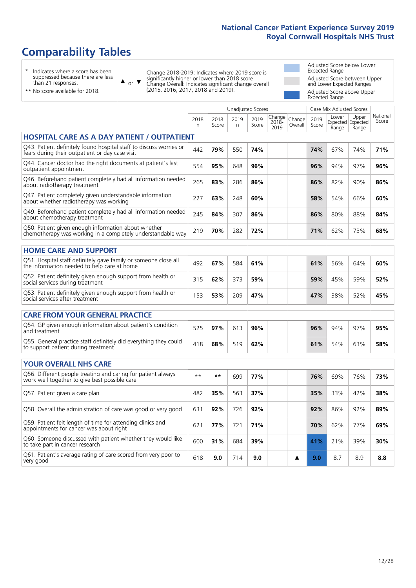# **Comparability Tables**

\* Indicates where a score has been suppressed because there are less than 21 responses.

\*\* No score available for 2018.

 $\triangle$  or  $\nabla$ 

Change 2018-2019: Indicates where 2019 score is significantly higher or lower than 2018 score Change Overall: Indicates significant change overall (2015, 2016, 2017, 2018 and 2019).

Adjusted Score below Lower Expected Range Adjusted Score between Upper and Lower Expected Ranges Adjusted Score above Upper Expected Range

|                                                                                                                       |              |               | <b>Unadjusted Scores</b> |               |                         |                   | Case Mix Adjusted Scores |                |                                     |                   |
|-----------------------------------------------------------------------------------------------------------------------|--------------|---------------|--------------------------|---------------|-------------------------|-------------------|--------------------------|----------------|-------------------------------------|-------------------|
|                                                                                                                       | 2018<br>n    | 2018<br>Score | 2019<br>n.               | 2019<br>Score | Change<br>2018-<br>2019 | Change<br>Overall | 2019<br>Score            | Lower<br>Range | Upper<br>Expected Expected<br>Range | National<br>Score |
| <b>HOSPITAL CARE AS A DAY PATIENT / OUTPATIENT</b>                                                                    |              |               |                          |               |                         |                   |                          |                |                                     |                   |
| Q43. Patient definitely found hospital staff to discuss worries or<br>fears during their outpatient or day case visit | 442          | 79%           | 550                      | 74%           |                         |                   | 74%                      | 67%            | 74%                                 | 71%               |
| Q44. Cancer doctor had the right documents at patient's last<br>outpatient appointment                                | 554          | 95%           | 648                      | 96%           |                         |                   | 96%                      | 94%            | 97%                                 | 96%               |
| Q46. Beforehand patient completely had all information needed<br>about radiotherapy treatment                         | 265          | 83%           | 286                      | 86%           |                         |                   | 86%                      | 82%            | 90%                                 | 86%               |
| Q47. Patient completely given understandable information<br>about whether radiotherapy was working                    | 227          | 63%           | 248                      | 60%           |                         |                   | 58%                      | 54%            | 66%                                 | 60%               |
| Q49. Beforehand patient completely had all information needed<br>about chemotherapy treatment                         | 245          | 84%           | 307                      | 86%           |                         |                   | 86%                      | 80%            | 88%                                 | 84%               |
| Q50. Patient given enough information about whether<br>chemotherapy was working in a completely understandable way    | 219          | 70%           | 282                      | 72%           |                         |                   | 71%                      | 62%            | 73%                                 | 68%               |
| <b>HOME CARE AND SUPPORT</b>                                                                                          |              |               |                          |               |                         |                   |                          |                |                                     |                   |
| Q51. Hospital staff definitely gave family or someone close all<br>the information needed to help care at home        | 492          | 67%           | 584                      | 61%           |                         |                   | 61%                      | 56%            | 64%                                 | 60%               |
| Q52. Patient definitely given enough support from health or<br>social services during treatment                       | 315          | 62%           | 373                      | 59%           |                         |                   | 59%                      | 45%            | 59%                                 | 52%               |
| Q53. Patient definitely given enough support from health or<br>social services after treatment                        | 153          | 53%           | 209                      | 47%           |                         |                   | 47%                      | 38%            | 52%                                 | 45%               |
| <b>CARE FROM YOUR GENERAL PRACTICE</b>                                                                                |              |               |                          |               |                         |                   |                          |                |                                     |                   |
| Q54. GP given enough information about patient's condition<br>and treatment                                           | 525          | 97%           | 613                      | 96%           |                         |                   | 96%                      | 94%            | 97%                                 | 95%               |
| Q55. General practice staff definitely did everything they could<br>to support patient during treatment               | 418          | 68%           | 519                      | 62%           |                         |                   | 61%                      | 54%            | 63%                                 | 58%               |
| <b>YOUR OVERALL NHS CARE</b>                                                                                          |              |               |                          |               |                         |                   |                          |                |                                     |                   |
| Q56. Different people treating and caring for patient always<br>work well together to give best possible care         | $\star\star$ | **            | 699                      | 77%           |                         |                   | 76%                      | 69%            | 76%                                 | 73%               |
| Q57. Patient given a care plan                                                                                        | 482          | 35%           | 563                      | 37%           |                         |                   | 35%                      | 33%            | 42%                                 | 38%               |
| Q58. Overall the administration of care was good or very good                                                         | 631          | 92%           | 726                      | 92%           |                         |                   | 92%                      | 86%            | 92%                                 | 89%               |
| Q59. Patient felt length of time for attending clinics and<br>appointments for cancer was about right                 | 621          | 77%           | 721                      | 71%           |                         |                   | 70%                      | 62%            | 77%                                 | 69%               |
| Q60. Someone discussed with patient whether they would like<br>to take part in cancer research                        | 600          | 31%           | 684                      | 39%           |                         |                   | 41%                      | 21%            | 39%                                 | 30%               |
| Q61. Patient's average rating of care scored from very poor to<br>very good                                           | 618          | 9.0           | 714                      | 9.0           |                         | ▲                 | 9.0                      | 8.7            | 8.9                                 | 8.8               |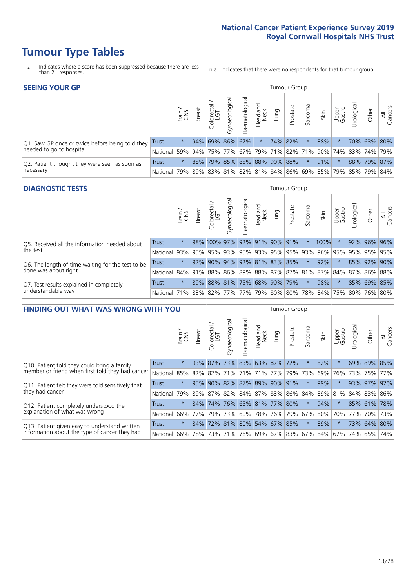# **Tumour Type Tables**

- \* Indicates where a score has been suppressed because there are less than 21 responses.
- n.a. Indicates that there were no respondents for that tumour group.

| <b>SEEING YOUR GP</b>                           |          |         |               |                   |                     |                         |                  |      | Tumour Group |         |                                                     |                 |            |             |                |
|-------------------------------------------------|----------|---------|---------------|-------------------|---------------------|-------------------------|------------------|------|--------------|---------|-----------------------------------------------------|-----------------|------------|-------------|----------------|
|                                                 |          | Brain   | <b>Breast</b> | olorectal.<br>LGT | त्त<br>Gynaecologic | Haematological          | Head and<br>Neck | Lung | Prostate     | Sarcoma | Skin                                                | Upper<br>Gastro | Urological | Other       | All<br>Cancers |
| Q1. Saw GP once or twice before being told they | Trust    | $\star$ |               | 94% 69% 86% 67%   |                     |                         | $\star$          |      | 74% 82%      |         | 88%                                                 |                 |            | 70% 63% 80% |                |
| needed to go to hospital                        | National | 59%     |               | 94% 75% 77%       |                     |                         |                  |      |              |         | 67% 79% 71% 82% 71% 90% 74% 83% 74% 79%             |                 |            |             |                |
| Q2. Patient thought they were seen as soon as   | Trust    | $\star$ | 88%           |                   |                     | 79% 85% 85% 88% 90% 88% |                  |      |              | $\star$ | 91%                                                 | $\star$         |            | 88% 79% 87% |                |
| necessary                                       | National | 79%     |               |                   |                     |                         |                  |      |              |         | 89% 83% 81% 82% 81% 84% 86% 69% 85% 79% 85% 79% 84% |                 |            |             |                |

#### **DIAGNOSTIC TESTS** Tumour Group

|                                                   |                                                                  | Super   | <b>Breast</b> | Colorectal<br>LGT            | $\overline{\sigma}$<br>Gynaecologic | Haematological      | Head and<br>Neck | Lung | Prostate                | Sarcoma | Skin | Upper<br>Gastro | Irological  | Other       | All<br>Cancers |
|---------------------------------------------------|------------------------------------------------------------------|---------|---------------|------------------------------|-------------------------------------|---------------------|------------------|------|-------------------------|---------|------|-----------------|-------------|-------------|----------------|
| Q5. Received all the information needed about     | <b>Trust</b>                                                     | $\star$ |               | 98% 100% 97% 92% 91% 90% 91% |                                     |                     |                  |      |                         |         | 100% |                 |             | 92% 96% 96% |                |
| the test                                          | National                                                         | 93%     | 95%           | 95%                          |                                     |                     |                  |      | 93% 95% 93% 95% 95% 93% |         | 96%  | 95%             | 95% 95% 95% |             |                |
| Q6. The length of time waiting for the test to be | Trust                                                            | $\star$ | 92%           | 90%                          |                                     | 94% 92% 81% 83% 85% |                  |      |                         | $\star$ | 92%  | $\star$         |             | 85% 92%     | 90%            |
| done was about right                              | National 84% 91% 88% 86% 89% 88% 87% 87% 81% 87% 84% 87% 86% 88% |         |               |                              |                                     |                     |                  |      |                         |         |      |                 |             |             |                |
| Q7. Test results explained in completely          | Trust                                                            | $\star$ |               | 89% 88% 81% 75% 68% 90% 79%  |                                     |                     |                  |      |                         | $\star$ | 98%  | $\star$         |             | 85% 69% 85% |                |
| understandable way                                | National 71% 83% 82% 77% 77% 79% 80% 80% 78% 84% 75% 80% 76% 80% |         |               |                              |                                     |                     |                  |      |                         |         |      |                 |             |             |                |

| <b>FINDING OUT WHAT WAS WRONG WITH YOU</b>        |              |         |               |                       |                |                     |                  |             | Tumour Group |         |      |                 |             |             |                |
|---------------------------------------------------|--------------|---------|---------------|-----------------------|----------------|---------------------|------------------|-------------|--------------|---------|------|-----------------|-------------|-------------|----------------|
|                                                   |              | Brain   | <b>Breast</b> | olorectal<br>LGT<br>Ū | Gynaecological | Haematological      | Head and<br>Neck | Lung        | Prostate     | Sarcoma | Skin | Upper<br>Gastro | Jrological  | Other       | All<br>Cancers |
| Q10. Patient told they could bring a family       | <b>Trust</b> | $\star$ | 93%           | 87%                   | 73%            |                     |                  | 83% 63% 87% | 72%          | $\star$ | 82%  | $\star$         |             | 69% 89% 85% |                |
| member or friend when first told they had cancer  | National     | 85%     | 82%           | 82%                   |                | 71% 71%             | 71%              | 77%         | 79%          | 73%     | 69%  | 76%             | 73%         | 75%         | 77%            |
| Q11. Patient felt they were told sensitively that | Trust        | $\star$ | 95%           | 90%                   | 82%            | 87% 89%             |                  | $90\%$      | 91%          | $\ast$  | 99%  | $\star$         | 93%         | 97%         | 92%            |
| they had cancer                                   | National     | 79%     |               | 89% 87%               |                | 82% 84% 87% 83% 86% |                  |             |              | 84%     |      | 89% 81%         | 84% 83% 86% |             |                |
| Q12. Patient completely understood the            | Trust        | $\star$ | 84%           | 74%                   |                | 76% 65% 81% 77% 80% |                  |             |              | $\star$ | 94%  | $\star$         |             | 85% 61%     | 78%            |
| explanation of what was wrong                     | National     | 66%     | 77%           | 79%                   |                | 73% 60%             |                  | 78% 76% 79% |              | 67%     | 80%  | 70%             | 77%         |             | 70% 73%        |
| Q13. Patient given easy to understand written     | Trust        | $\star$ | 84%           | 72%                   | 81%            | 80% 54% 67%         |                  |             | 85%          | $\star$ | 89%  | $\star$         |             | 73% 64%     | 80%            |
| information about the type of cancer they had     | National     | 66%     | 78%           | 73%                   |                | 71% 76% 69% 67% 83% |                  |             |              | 67%     | 84%  |                 | 67%   74%   | 65%         | 74%            |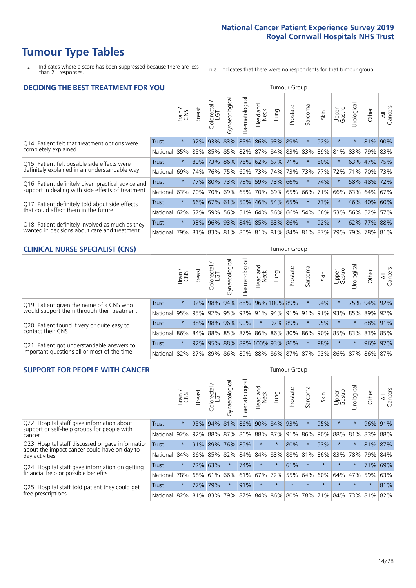# **Tumour Type Tables**

\* Indicates where a score has been suppressed because there are less than 21 responses.

n.a. Indicates that there were no respondents for that tumour group.

| <b>DECIDING THE BEST TREATMENT FOR YOU</b>         |              |         |               |                            |                |                             |                        |             | <b>Tumour Group</b> |         |                                     |                 |            |             |                |
|----------------------------------------------------|--------------|---------|---------------|----------------------------|----------------|-----------------------------|------------------------|-------------|---------------------|---------|-------------------------------------|-----------------|------------|-------------|----------------|
|                                                    |              | Brain   | <b>Breast</b> | olorectal<br>LGT<br>$\cup$ | Gynaecological | Haematological              | ad and<br>Neck<br>Head | Lung        | Prostate            | Sarcoma | Skin                                | Upper<br>Gastro | Jrological | Other       | All<br>Cancers |
| Q14. Patient felt that treatment options were      | <b>Trust</b> | $\star$ | 92%           | 93%                        | 83%            |                             |                        | 85% 86% 93% | 89%                 | $\star$ | 92%                                 | $\star$         | $^\star$   | 81%         | 90%            |
| completely explained                               | National     | 85%     | 85%           | 85%                        |                | 85% 82% 87% 84% 83% 83%     |                        |             |                     |         | 89%                                 | 81%             | 83%        | 79% 83%     |                |
| Q15. Patient felt possible side effects were       | Trust        | $\star$ | 80%           | 73%                        |                | 86% 76% 62% 67% 71%         |                        |             |                     |         | 80%                                 | $\star$         |            | 63% 47%     | 75%            |
| definitely explained in an understandable way      | National     | 69%     | 74%           | 76%                        |                | 75% 69%                     | 73%                    |             | 74% 73%             | 73%     | 77%                                 | 72%             | 71%        | 70%         | 73%            |
| Q16. Patient definitely given practical advice and | Trust        | $\star$ | 77%           | 80%                        |                | 73% 73% 59% 73% 66%         |                        |             |                     | 大       | 74%                                 | $\star$         |            | 58% 48% 72% |                |
| support in dealing with side effects of treatment  | National     | 63%     | 70%           | 70%                        |                | 69% 65% 70%                 |                        |             | 69% 65%             | 66%     | 71%                                 | 66%             |            | 63% 64%     | 67%            |
| Q17. Patient definitely told about side effects    | Trust        | $\star$ |               |                            |                | 66% 67% 61% 50% 46% 54% 65% |                        |             |                     | 大       | 73%                                 | $\star$         |            | 46% 40% 60% |                |
| that could affect them in the future               | National     | 62%     | 57%           | 59%                        |                | 56% 51% 64% 56% 66%         |                        |             |                     | 54%     | 66%                                 | 53%             |            | 56% 52%     | 57%            |
| Q18. Patient definitely involved as much as they   | Trust        | $\star$ |               |                            |                | 93% 96% 93% 84% 85% 83% 86% |                        |             |                     | $\ast$  | 92%                                 | $\star$         |            | 62% 77% 88% |                |
| wanted in decisions about care and treatment       | National     | 79%     |               |                            |                |                             |                        |             |                     |         | 81% 83% 81% 80% 81% 81% 84% 81% 87% | 79%             |            | 79% 78% 81% |                |

#### **CLINICAL NURSE SPECIALIST (CNS)** Tumour Group

|                                             |          | Brain   | <b>Breast</b>         | olorectal<br>LGT<br>$\cup$ | aecologica<br>Š | $\overline{\sigma}$<br>O<br>aematologi | Head and<br>Neck                        | Lung    | Prostate | Sarcoma | Skin | Upper<br>Gastro | $\sigma$<br>rologica | Other   | All<br>ancers<br>Ü |
|---------------------------------------------|----------|---------|-----------------------|----------------------------|-----------------|----------------------------------------|-----------------------------------------|---------|----------|---------|------|-----------------|----------------------|---------|--------------------|
| Q19. Patient given the name of a CNS who    | Trust    | $\star$ | 92%                   | 98%                        | 94%             |                                        | 88% 96% 100% 89%                        |         |          |         | 94%  |                 |                      | 75% 94% | 92%                |
| would support them through their treatment  | National |         | 95% 95% 92% 95%       |                            |                 |                                        | 92%   91%   94%   91%   91%   91%   93% |         |          |         |      |                 | 85%                  | 89%     | 92%                |
| Q20. Patient found it very or quite easy to | Trust    | $\star$ |                       |                            | 88% 98% 96%     | 90%                                    | $\star$                                 | 97% 89% |          | $\ast$  | 95%  | $\star$         | $\star$              | 88% 91% |                    |
| contact their CNS                           | National |         | 86% 84% 88% 85%       |                            |                 |                                        | 87% 86% 86% 80% 86%                     |         |          |         |      | 90% 85% 83%     |                      | 83%     | 85%                |
| Q21. Patient got understandable answers to  | Trust    | $\star$ | 92%                   | 95%                        | 88%             |                                        | 89% 100% 93% 86%                        |         |          |         | 98%  | $\star$         |                      | 96%     | 92%                |
| important questions all or most of the time | National |         | 82%   87%   89%   86% |                            |                 |                                        | 89% 88% 86% 87% 87% 93% 86% 87%         |         |          |         |      |                 |                      | 86%     | 87%                |

| <b>SUPPORT FOR PEOPLE WITH CANCER</b>                                                             |              |         |               |            |                |                |                         |             | Tumour Group |                  |         |                 |            |         |                |
|---------------------------------------------------------------------------------------------------|--------------|---------|---------------|------------|----------------|----------------|-------------------------|-------------|--------------|------------------|---------|-----------------|------------|---------|----------------|
|                                                                                                   |              | Brain   | <b>Breast</b> | Colorectal | Gynaecological | Haematological | ead and<br>Neck<br>Head | <b>Dung</b> | Prostate     | arcoma<br>$\sim$ | Skin    | Upper<br>Gastro | Jrological | Other   | All<br>Cancers |
| Q22. Hospital staff gave information about<br>support or self-help groups for people with         | <b>Trust</b> | $\star$ | 95%           | 94%        | 81%            | 86%            | $90\%$                  | 84%         | 93%          | 大                | 95%     | $\star$         | $\star$    | 96%     | 91%            |
| cancer                                                                                            | National     | 92%     | 92%           | 88%        | 87%            | 86%            | 88%                     |             | 87% 91%      | 86%              | 90%     | 88%             | 81%        | 83%     | 88%            |
| Q23. Hospital staff discussed or gave information<br>about the impact cancer could have on day to | Trust        | $\star$ | 91%           | 89%        | 76%            | 89%            | $\star$                 | $\star$     | 80%          | $\star$          | 93%     | $\star$         | $\star$    | 81%     | 87%            |
| day activities                                                                                    | National     | 84%     |               | 86% 85%    | 82%            | 84%            | 84%                     | 83%         | 88%          | 81%              | 86%     | 83%             | 78%        | 79%     | 84%            |
| Q24. Hospital staff gave information on getting                                                   | Trust        | $\star$ | 72%           | 63%        | $\star$        | 74%            | $\star$                 | $\star$     | 61%          | $\star$          | $\star$ | $\star$         | $\star$    | 71%     | 69%            |
| financial help or possible benefits                                                               | National     | 78%     |               | 68% 61%    | 66%            | 61%            | 67%                     | 72%         | 55%          | 64%              | 60%     | 64%             | 47%        | 59%     | 63%            |
| Q25. Hospital staff told patient they could get                                                   | Trust        | $\star$ | 77%           | 79%        | $\star$        | 91%            | $\star$                 | $\star$     | $\star$      | 大                |         | $\star$         | $\star$    | $\star$ | 81%            |
| free prescriptions                                                                                | National     | 82%     |               | 81% 83%    | 79%            | 87%            |                         | 84% 86% 80% |              | 78%              | 71%     | $ 84\% $        |            | 73% 81% | 82%            |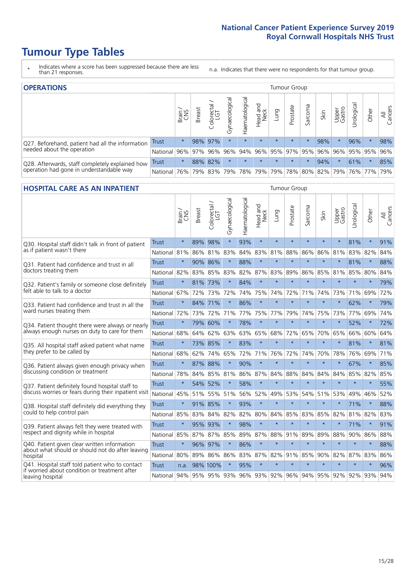# **Tumour Type Tables**

- \* Indicates where a score has been suppressed because there are less than 21 responses.
- n.a. Indicates that there were no respondents for that tumour group.

| <b>OPERATIONS</b>                                |              |         |               |                       |                    |                |                  |                                     | Tumour Group |         |                     |                 |            |         |                |
|--------------------------------------------------|--------------|---------|---------------|-----------------------|--------------------|----------------|------------------|-------------------------------------|--------------|---------|---------------------|-----------------|------------|---------|----------------|
|                                                  |              | Brain   | <b>Breast</b> | olorectal<br>LGT<br>Ü | ᠊ᢛ<br>Gynaecologic | Haematological | Head and<br>Neck | <b>Dung</b>                         | Prostate     | Sarcoma | Skin                | Upper<br>Gastro | Urological | Other   | All<br>Cancers |
| Q27. Beforehand, patient had all the information | Trust        | $\star$ |               | 98% 97%               | $\star$            | $\star$        | $\star$          | $\star$                             | $\star$      | $\star$ | 98%                 |                 | 96%        | $\star$ | 98%            |
| needed about the operation                       | National     | 96%     | 97%           | 96%                   | 96%                |                |                  | 94% 96% 95% 97% 95% 96% 96% 95% 95% |              |         |                     |                 |            |         | 96%            |
| Q28. Afterwards, staff completely explained how  | <b>Trust</b> | $\star$ |               | 88% 82%               | $\star$            |                | $\star$          | $\star$                             | $\star$      | $\star$ | 94%                 |                 | 61%        | $\ast$  | 85%            |
| operation had gone in understandable way         | National I   | 76%     |               | 79% 83%               |                    | 79% 78% 79%    |                  |                                     | 79% 78%      |         | 80% 82% 79% 76% 77% |                 |            |         | 79%            |

#### **HOSPITAL CARE AS AN INPATIENT** Tumour Group

|                                                                                                   |                                                          | Brain   | Breast  | $\overline{\phantom{0}}$<br>Colorectal /<br>LGT | Gynaecological | Haematological | Head and<br>Neck | Lung    | Prostate | Sarcoma | Skin    | Upper<br>Gastro | Urological | Other   | All<br>Cancers |
|---------------------------------------------------------------------------------------------------|----------------------------------------------------------|---------|---------|-------------------------------------------------|----------------|----------------|------------------|---------|----------|---------|---------|-----------------|------------|---------|----------------|
| Q30. Hospital staff didn't talk in front of patient                                               | <b>Trust</b>                                             | $\star$ | 89%     | 98%                                             | $\star$        | 93%            | $\star$          | $\star$ | $\star$  | $\star$ | $\star$ | $\star$         | 81%        | $\star$ | 91%            |
| as if patient wasn't there                                                                        | National                                                 | 81%     | 86%     | 81%                                             | 83%            | 84%            | 83%              | 81%     | 88%      | 86%     | 86%     | 81%             | 83%        | 82%     | 84%            |
| O31. Patient had confidence and trust in all                                                      | Trust                                                    | $\star$ | 90% 86% |                                                 | $\star$        | 88%            | $\star$          | $\star$ | $\star$  | $\star$ | $\star$ |                 | 81%        | $\star$ | 88%            |
| doctors treating them                                                                             | National                                                 | 82%     |         | 83% 85%                                         | 83%            | 82%            |                  | 87% 83% | 89%      | 86%     | 85%     | 81%             | 85%        | 80%     | 84%            |
| Q32. Patient's family or someone close definitely                                                 | <b>Trust</b>                                             | $\star$ | 81%     | 73%                                             |                | 84%            | $\star$          | $\star$ | $\star$  | $\star$ | $\star$ | $\star$         | $\star$    | $\star$ | 79%            |
| felt able to talk to a doctor                                                                     | National                                                 | 67%     | 72%     | 73%                                             | 72%            | 74%            | 75%              | 74%     | 72%      | 71%     | 74%     | 73%             | 71%        | 69%     | 72%            |
| O33. Patient had confidence and trust in all the<br>ward nurses treating them                     | <b>Trust</b>                                             | $\star$ |         | 84% 71%                                         | $\star$        | 86%            | $\star$          | $\star$ | $\star$  | $\star$ | $\star$ | $\star$         | 62%        | $\star$ | 79%            |
|                                                                                                   | National 72%                                             |         | 73%     | 72%                                             | 71%            | 77%            |                  | 75% 77% | 79%      | 74%     | 75%     | 73%             | 77%        | 69%     | 74%            |
| Q34. Patient thought there were always or nearly<br>always enough nurses on duty to care for them | Trust                                                    | $\star$ | 79% 60% |                                                 | $\star$        | 78%            | $\star$          | $\star$ | $\star$  | $\star$ | $\star$ | $\star$         | 52%        | $\star$ | 72%            |
|                                                                                                   | National                                                 | 68%     | 64%     | 62%                                             | 63%            | 63%            |                  | 65% 68% | 72%      | 65%     | 70%     | 65%             | 66%        | 60%     | 64%            |
| Q35. All hospital staff asked patient what name                                                   | Trust                                                    | $\star$ | 73% 85% |                                                 | $\star$        | 83%            | $\star$          | $\star$ | $\star$  | $\star$ | $\star$ | $\star$         | 81%        | $\star$ | 81%            |
| they prefer to be called by                                                                       | National                                                 | 68%     | 62%     | 74%                                             | 65%            | 72%            |                  | 71% 76% | 72%      | 74%     | 70%     | 78%             | 76%        | 69%     | 71%            |
| Q36. Patient always given enough privacy when                                                     | Trust                                                    | $\star$ | 87%     | 88%                                             |                | 90%            | $\star$          | $\star$ | $\star$  | $\star$ | $\star$ |                 | 67%        | $\star$ | 85%            |
| discussing condition or treatment                                                                 | National                                                 | 78%     |         | 84% 85%                                         | 81%            | 86%            |                  | 87% 84% | 88%      | 84%     | 84%     | 84%             | 85%        | 82%     | 85%            |
| Q37. Patient definitely found hospital staff to                                                   | <b>Trust</b>                                             | $\star$ |         | 54% 52%                                         | $\star$        | 58%            | $\star$          | $\star$ | $\star$  | $\star$ | $\star$ | $\star$         | $\star$    | $\star$ | 55%            |
| discuss worries or fears during their inpatient visit                                             | National 45%                                             |         |         | 51% 55%                                         | 51%            | 56%            |                  | 52% 49% | 53%      | 54%     | 51%     | 53%             | 49%        | 46%     | 52%            |
| Q38. Hospital staff definitely did everything they                                                | Trust                                                    | $\star$ | 91% 85% |                                                 | $\star$        | 93%            | $\star$          | $\star$ | $\star$  | $\star$ | $\star$ | $\star$         | 71%        | $\star$ | 88%            |
| could to help control pain                                                                        | National                                                 | 85%     | 83%     | 84%                                             | 82%            | 82%            | 80%              | 84%     | 85%      | 83%     | 85%     | 82%             | 81%        | 82%     | 83%            |
| Q39. Patient always felt they were treated with                                                   | <b>Trust</b>                                             | $\star$ | 95% 93% |                                                 | $\star$        | 98%            | $\star$          | $\star$ | $\star$  | $\star$ | $\star$ |                 | 71%        | $\star$ | 91%            |
| respect and dignity while in hospital                                                             | National                                                 | 85%     | 87%     | 87%                                             | 85%            | 89%            | 87%              | 88%     | 91%      | 89%     | 89%     | 88%             | 90%        | 86%     | 88%            |
| Q40. Patient given clear written information<br>about what should or should not do after leaving  | <b>Trust</b>                                             | $\star$ | 96% 97% |                                                 |                | 86%            | $\star$          | $\star$ | $\star$  | $\star$ | $\star$ | $\star$         | $\star$    | $\star$ | 88%            |
| hospital                                                                                          | National                                                 | 80%     | 89%     | 86%                                             | 86%            | 83%            |                  | 87% 82% | 91%      | 85%     | 90%     | 82%             | 87%        | 83%     | 86%            |
| Q41. Hospital staff told patient who to contact<br>if worried about condition or treatment after  | <b>Trust</b>                                             | n.a.    |         | 98% 100%                                        | $\star$        | 95%            | $\star$          | $\star$ | $\star$  | $\star$ | $\star$ | $\star$         | $\star$    | $\star$ | 96%            |
| leaving hospital                                                                                  | National 94% 95% 95% 93% 96% 93% 92% 96% 94% 95% 92% 92% |         |         |                                                 |                |                |                  |         |          |         |         |                 |            | 93% 94% |                |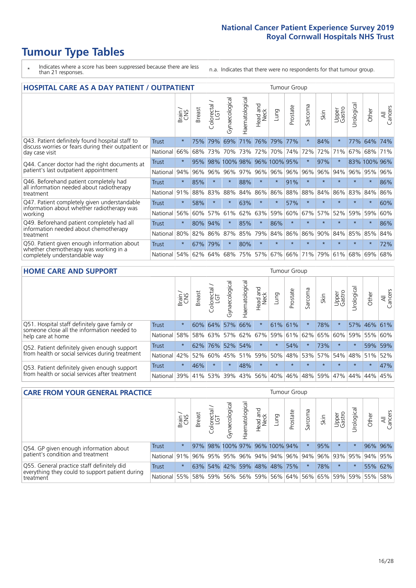# **Tumour Type Tables**

- \* Indicates where a score has been suppressed because there are less than 21 responses.
- n.a. Indicates that there were no respondents for that tumour group.

| <b>HOSPITAL CARE AS A DAY PATIENT / OUTPATIENT</b>                                                                    |              |         |               |                         |                       |                |                         |          |          | <b>Tumour Group</b> |         |                 |            |              |                |  |  |  |  |
|-----------------------------------------------------------------------------------------------------------------------|--------------|---------|---------------|-------------------------|-----------------------|----------------|-------------------------|----------|----------|---------------------|---------|-----------------|------------|--------------|----------------|--|--|--|--|
|                                                                                                                       |              | Brain   | <b>Breast</b> | olorectal /<br>LGT<br>Ü | Gynaecological        | Haematological | ead and<br>Neck<br>Head | Lung     | Prostate | Sarcoma             | Skin    | Upper<br>Gastro | Urological | Other        | All<br>Cancers |  |  |  |  |
| Q43. Patient definitely found hospital staff to                                                                       | <b>Trust</b> | $\star$ | 75%           | 79%                     | 69%                   | 71%            | 76%                     | 79%      | 77%      | $\ast$              | 84%     | $\star$         | 77%        | 64%          | 74%            |  |  |  |  |
| discuss worries or fears during their outpatient or<br>day case visit                                                 | National     | 66%     | 68%           | 73%                     | 70%                   | 73%            | 72%                     | 70%      | 74%      | 72%                 | 72%     | 71%             | 67%        | 68%          | 71%            |  |  |  |  |
| Q44. Cancer doctor had the right documents at<br>patient's last outpatient appointment                                | Trust        | $\star$ | 95%           | 98%                     | 100% 98% 96% 100% 95% |                |                         |          |          | $\star$             | 97%     |                 |            | 83% 100% 96% |                |  |  |  |  |
|                                                                                                                       | National     | 94%     | 96%           | 96%                     | 96%                   | 97%            | 96%                     | $ 96\% $ | 96%      | 96%                 | 96%     | 94%             | $96\%$     | 95%          | 96%            |  |  |  |  |
| Q46. Beforehand patient completely had                                                                                | Trust        | $\star$ | 85%           | $\star$                 | $\star$               | 88%            | $\star$                 | $\star$  | 91%      | $\star$             | $\star$ | $\star$         | $\star$    | $\ast$       | 86%            |  |  |  |  |
| all information needed about radiotherapy<br>treatment                                                                | National     | 91%     | 88%           | 83%                     | 88%                   | 84%            | 86%                     | 86%      | 88%      | 88%                 | 84%     | 86%             | 83%        | 84%          | 86%            |  |  |  |  |
| Q47. Patient completely given understandable                                                                          | Trust        | $\star$ | 58%           |                         |                       | 63%            | $\star$                 | $\star$  | 57%      | $\star$             |         |                 | $\star$    | $\star$      | 60%            |  |  |  |  |
| information about whether radiotherapy was<br>working                                                                 | National     | 56%     | 60%           | 57%                     | 61%                   | 62%            | 63%                     | 59%      | 60%      | 67%                 | 57%     | 52%             | 59%        | 59%          | 60%            |  |  |  |  |
| Q49. Beforehand patient completely had all                                                                            | <b>Trust</b> | $\star$ | 80%           | 94%                     |                       | 85%            | $\star$                 | 86%      | $\star$  | $\star$             |         | $\star$         | $\star$    | $\star$      | 86%            |  |  |  |  |
| information needed about chemotherapy<br>treatment                                                                    | National     | 80%     | 82%           | 86%                     | 87%                   | 85%            | 79%                     | 84%      | 86%      | 86%                 | 90%     | 84%             | 85%        | 85%          | 84%            |  |  |  |  |
| Q50. Patient given enough information about<br>whether chemotherapy was working in a<br>completely understandable way | <b>Trust</b> | $\star$ | 67%           | 79%                     | $\star$               | 80%            | $\star$                 | $\star$  | $\star$  | $\star$             | $\star$ | $\star$         | $\star$    | $\star$      | 72%            |  |  |  |  |
|                                                                                                                       | National     | 54%     | 62%           | 64%                     | 68%                   | 75%            | 57%                     | 67%      | 66%      | 71%                 | 79%     | 61%             | 68%        | 69%          | 68%            |  |  |  |  |

#### **HOME CARE AND SUPPORT** Tumour Group

|                                                                                                                   |              | Brain   | <b>Breast</b> | Colorectal<br>LGT | Gynaecological | Haematological | Head and<br>Neck | <b>Lung</b> | Prostate | Sarcoma | Skin    | Upper<br>Gastro | Urological | Other       | All<br>Cancers |
|-------------------------------------------------------------------------------------------------------------------|--------------|---------|---------------|-------------------|----------------|----------------|------------------|-------------|----------|---------|---------|-----------------|------------|-------------|----------------|
| Q51. Hospital staff definitely gave family or<br>someone close all the information needed to<br>help care at home | <b>Trust</b> | $\star$ |               | 60% 64%           | 57%            | 66%            | $\star$          | 61% 61%     |          |         | 78%     | $\star$         |            | 57% 46% 61% |                |
|                                                                                                                   | National     | 58%     |               | 58% 63%           | 57%            |                | 62% 67% 59%      |             | 61%      | 62%     | 65%     | 60%             | 59%        | 55%         | 60%            |
| Q52. Patient definitely given enough support<br>from health or social services during treatment                   | <b>Trust</b> | $\star$ | 62%           | 76%               |                | 52% 54%        | $\star$          | $\star$     | 54%      | $\star$ | 73%     | $\star$         | $\star$    | 59% 59%     |                |
|                                                                                                                   | National     | 42%     | 52%           | 60%               | 45%            |                | 51% 59% 50%      |             | 48%      | 53%     | 57%     | 54%             | 48% 51%    |             | 52%            |
| Q53. Patient definitely given enough support<br>from health or social services after treatment                    | <b>Trust</b> | $\star$ | 46%           |                   | $\star$        | 48%            | $\star$          | $\star$     | $\star$  | $\star$ | $\star$ | $\star$         | $\star$    | $\star$     | 47%            |
|                                                                                                                   | National     | 39%     | 41% 53%       |                   | 39%            | $ 43\% $       | 56%              | $ 40\% $    | 46%      | 48%     | 59%     | 47%             | 44%        | 44%         | 45%            |

| <b>CARE FROM YOUR GENERAL PRACTICE</b>                                                                     |              |         |               |                        |                                     |                   |                  | Tumour Group                                                    |          |         |      |                 |                 |         |                |  |
|------------------------------------------------------------------------------------------------------------|--------------|---------|---------------|------------------------|-------------------------------------|-------------------|------------------|-----------------------------------------------------------------|----------|---------|------|-----------------|-----------------|---------|----------------|--|
|                                                                                                            |              | Brain,  | <b>Breast</b> | ー<br>Colorectal<br>LGT | Gynaecologica                       | ক<br>Haematologic | Head and<br>Neck | Lung                                                            | Prostate | Sarcoma | Skin | Upper<br>Gastro | ъ<br>Urologica  | Other   | All<br>Cancers |  |
| Q54. GP given enough information about<br>patient's condition and treatment                                | Trust        | $\star$ |               |                        | 97% 98% 100% 97% 96% 100% 94%       |                   |                  |                                                                 |          |         | 95%  | $\star$         |                 | 96% 96% |                |  |
|                                                                                                            | National 91% |         |               |                        | 96% 95% 95% 96% 94% 94% 96% 94% 96% |                   |                  |                                                                 |          |         |      |                 | 93% 95% 94% 95% |         |                |  |
| Q55. General practice staff definitely did<br>everything they could to support patient during<br>treatment | <b>Trust</b> | $\star$ |               | 63% 54%                |                                     |                   |                  | 42% 59% 48% 48% 75%                                             |          |         | 78%  | $\star$         |                 | 55% 62% |                |  |
|                                                                                                            | National 55% |         |               | 58% 59%                |                                     |                   |                  | 56%   56%   59%   56%   64%   56%   65%   59%   59%   55%   58% |          |         |      |                 |                 |         |                |  |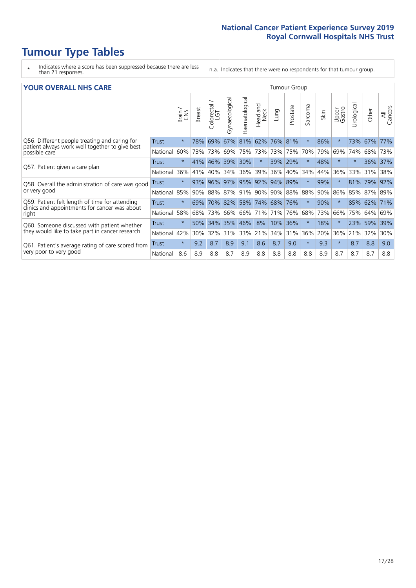# **Tumour Type Tables**

- \* Indicates where a score has been suppressed because there are less than 21 responses.
- n.a. Indicates that there were no respondents for that tumour group.

#### **YOUR OVERALL NHS CARE** THE TWO CONTROLLER THE THE THEORY OF THE THEORY OF THE TUMOUR Group

|              | Brain   | <b>Breast</b> | olorectal.<br>LGT<br>Û | Gynaecological       | Haematological | <b>Bad and</b><br>Neck<br>Head   | Lung | Prostate | arcoma<br>$\sqrt{ }$                                      | Skin    | Upper<br>Gastro | Urological | Other | All<br>Cancers |
|--------------|---------|---------------|------------------------|----------------------|----------------|----------------------------------|------|----------|-----------------------------------------------------------|---------|-----------------|------------|-------|----------------|
| <b>Trust</b> | $\star$ | 78%           | 69%                    | 67%                  | 81%            | 62%                              | 76%  |          | $\star$                                                   | 86%     | $\star$         | 73%        | 67%   | 77%            |
| National     | 60%     |               | 73%                    | 69%                  | 75%            | 73%                              | 73%  | 75%      | 70%                                                       | 79%     | 69%             | 74%        | 68%   | 73%            |
| Trust        | $\star$ | 41%           |                        |                      | 30%            | $\star$                          |      |          | $\star$                                                   | 48%     | $\star$         | $\star$    | 36%   | 37%            |
| National     | 36%     | 41%           | 40%                    | 34%                  | 36%            | 39%                              | 36%  |          | 34%                                                       | 44%     | 36%             | 33%        | 31%   | 38%            |
| Trust        | $\star$ | 93%           | 96%                    |                      |                | 92%                              | 94%  |          | $\star$                                                   | 99%     |                 | 81%        | 79%   | 92%            |
| National     | 85%     |               |                        | 87%                  |                | 90%                              |      |          | 88%                                                       | 90%     | 86%             | 85%        |       |                |
| Trust        | $\star$ | 69%           |                        |                      |                |                                  |      |          | $\star$                                                   | 90%     | $\star$         | 85%        |       | 71%            |
| National     | 58%     | 68%           | 73%                    | 66%                  | 66%            | 71%                              | 71%  |          | 68%                                                       | 73%     | 66%             | 75%        | 64%   | 69%            |
| Trust        | $\star$ | 50%           | 34%                    | 35%                  | 46%            | 8%                               | 10%  | 36%      | $\star$                                                   | 18%     |                 | 23%        | 59%   | 39%            |
| National     | 42%     | 30%           | 32%                    | 31%                  | 33%            | 21%                              | 34%  |          | 36%                                                       | 20%     | 36%             | 21%        | 32%   | 30%            |
| Trust        | $\star$ | 9.2           | 8.7                    | 8.9                  | 9.1            | 8.6                              | 8.7  | 9.0      | $\star$                                                   | 9.3     | $\star$         | 8.7        | 8.8   | 9.0            |
| National     | 8.6     | 8.9           | 8.8                    | 8.7                  | 8.9            | 8.8                              | 8.8  | 8.8      | 8.8                                                       | 8.9     | 8.7             | 8.7        | 8.7   | 8.8            |
|              |         |               |                        | 73%<br>46%<br>$90\%$ | 88%<br>70%     | 39%<br>97% 95%<br>91%<br>82% 58% |      |          | 81%<br>39% 29%<br>40%<br>89%<br>74% 68% 76%<br>76%<br>31% | 90% 88% |                 |            |       | 87% 89%<br>62% |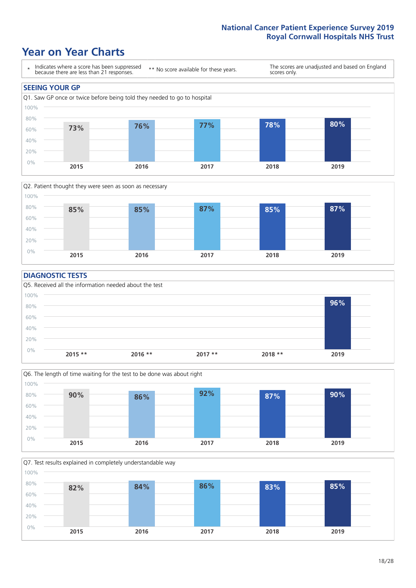### **Year on Year Charts**





#### **DIAGNOSTIC TESTS**





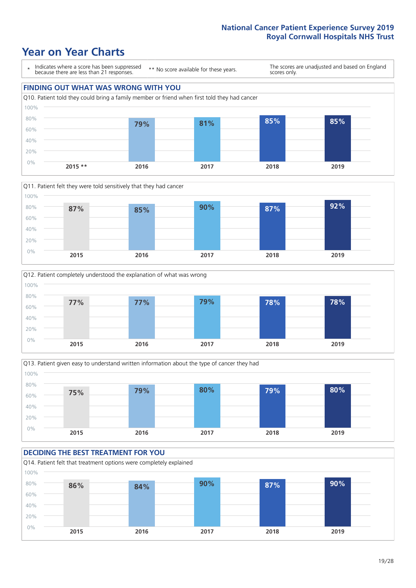







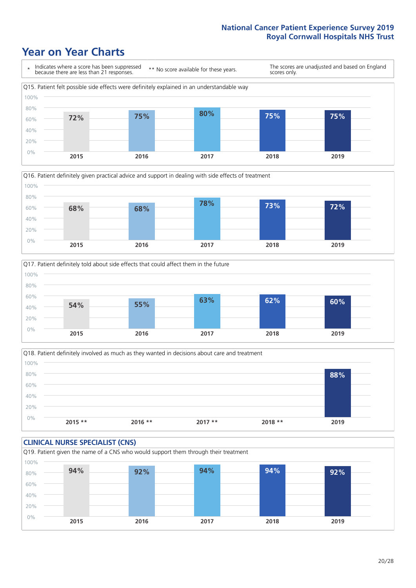





Q18. Patient definitely involved as much as they wanted in decisions about care and treatment  $0%$ 20% 40% 60% 80% 100% **2015 \*\* 2016 \*\* 2017 \*\* 2018 \*\* 2019 88%**

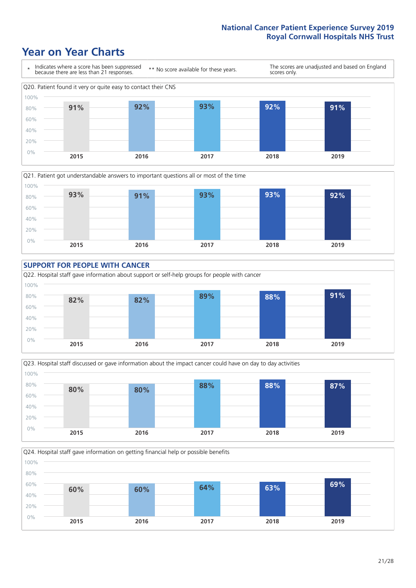







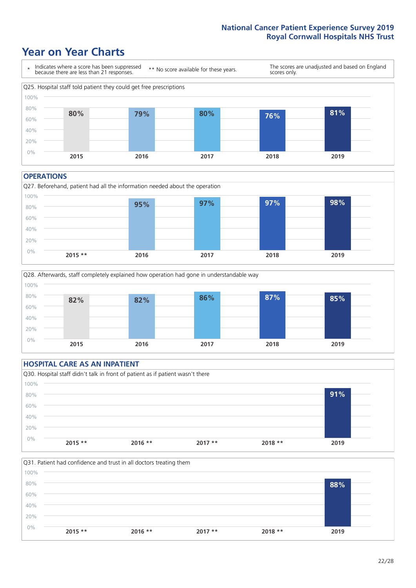### **Year on Year Charts**



#### **OPERATIONS**





#### **HOSPITAL CARE AS AN INPATIENT** Q30. Hospital staff didn't talk in front of patient as if patient wasn't there 0% 20% 40% 60% 80% 100% **2015 \*\* 2016 \*\* 2017 \*\* 2018 \*\* 2019 91%**

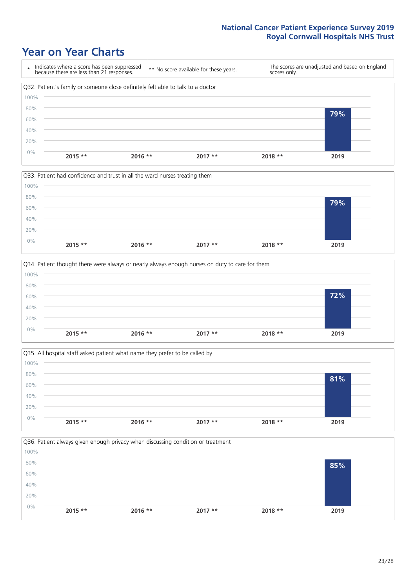







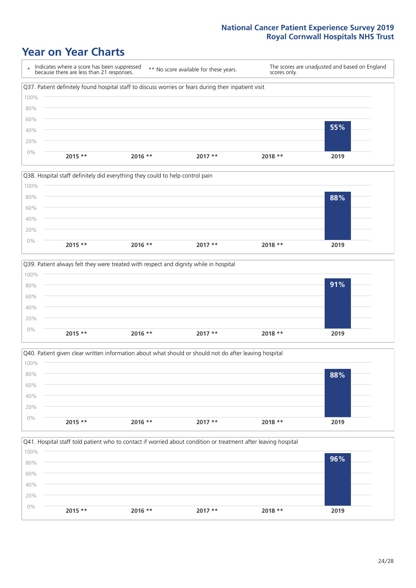







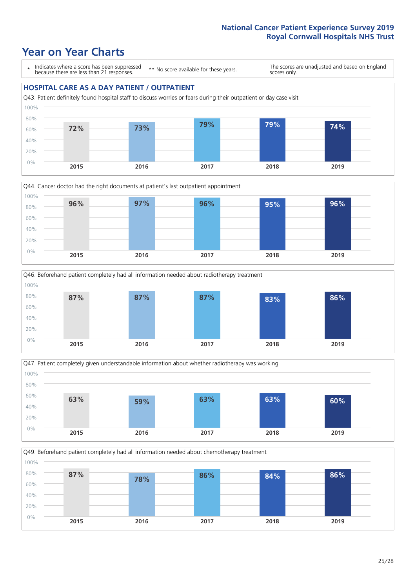### **Year on Year Charts**

\* Indicates where a score has been suppressed because there are less than 21 responses.

\*\* No score available for these years.

The scores are unadjusted and based on England scores only.

#### **HOSPITAL CARE AS A DAY PATIENT / OUTPATIENT** Q43. Patient definitely found hospital staff to discuss worries or fears during their outpatient or day case visit 0% 20% 40% 60% 80% 100% **72% 73% 79% 79% 74%**



**2015 2016 2017 2018 2019**





Q49. Beforehand patient completely had all information needed about chemotherapy treatment 0% 20% 40% 60% 80% 100% **2015 2016 2017 2018 2019 87% 78% 86% 84% 86%**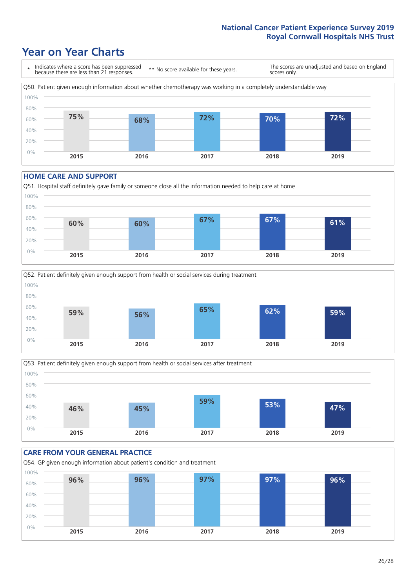### **Year on Year Charts**



#### **HOME CARE AND SUPPORT**







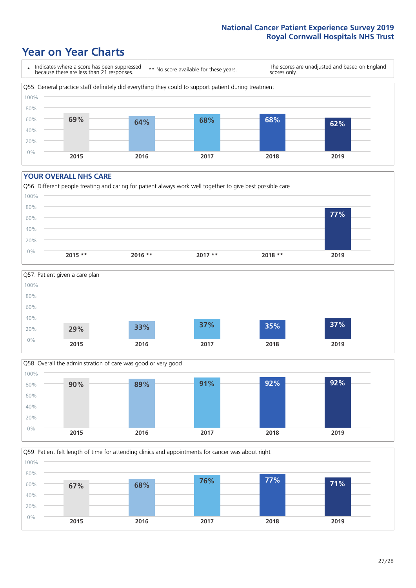### **Year on Year Charts**



#### **YOUR OVERALL NHS CARE**







Q59. Patient felt length of time for attending clinics and appointments for cancer was about right 100%